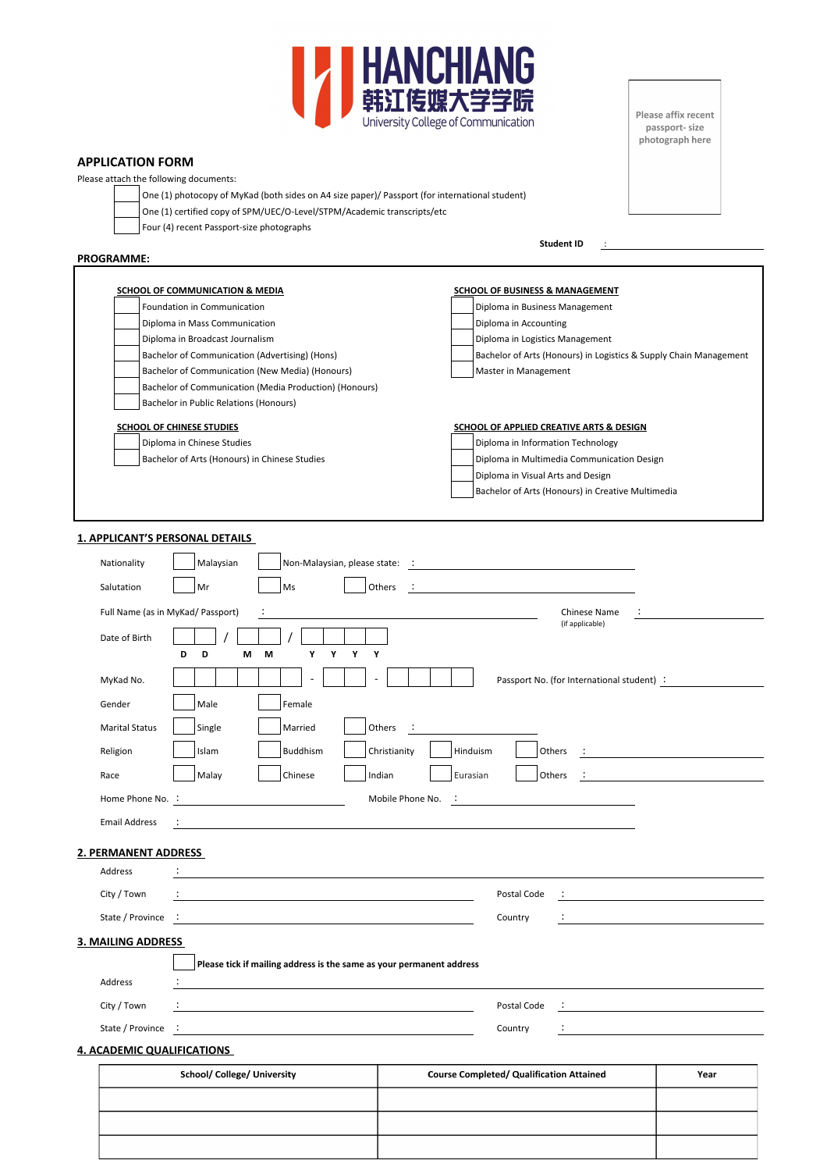

**APPLICATION FORM**

Please attach the following documents:

One (1) photocopy of MyKad (both sides on A4 size paper)/ Passport (for international student)

One (1) certified copy of SPM/UEC/O-Level/STPM/Academic transcripts/etc

Four (4) recent Passport-size photographs

## **PROGRAMME:**

**Student ID** :

Please affix recent

passport- size photograph here

| Foundation in Communication                            | Diploma in Business Management                                    |
|--------------------------------------------------------|-------------------------------------------------------------------|
| Diploma in Mass Communication                          | Diploma in Accounting                                             |
| Diploma in Broadcast Journalism                        | Diploma in Logistics Management                                   |
| Bachelor of Communication (Advertising) (Hons)         | Bachelor of Arts (Honours) in Logistics & Supply Chain Management |
| Bachelor of Communication (New Media) (Honours)        | Master in Management                                              |
| Bachelor of Communication (Media Production) (Honours) |                                                                   |
| Bachelor in Public Relations (Honours)                 |                                                                   |
| <b>SCHOOL OF CHINESE STUDIES</b>                       | SCHOOL OF APPLIED CREATIVE ARTS & DESIGN                          |
| Diploma in Chinese Studies                             | Diploma in Information Technology                                 |
| Bachelor of Arts (Honours) in Chinese Studies          | Diploma in Multimedia Communication Design                        |
|                                                        | Diploma in Visual Arts and Design                                 |
|                                                        | Bachelor of Arts (Honours) in Creative Multimedia                 |

## **1. APPLICANT'S PERSONAL DETAILS**

| Nationality                                        | Malaysian                                                                                                             | Non-Malaysian, please state: internal content of the Malaysian, please state: internal content of the Malaysian |                                                                                                                       |
|----------------------------------------------------|-----------------------------------------------------------------------------------------------------------------------|-----------------------------------------------------------------------------------------------------------------|-----------------------------------------------------------------------------------------------------------------------|
| Salutation                                         | Mr<br>Ms                                                                                                              | Others<br>- 1                                                                                                   |                                                                                                                       |
| Full Name (as in MyKad/ Passport)<br>Date of Birth | D<br>Y<br>Y<br>D<br>м<br>М<br>Y                                                                                       | Chinese Name<br>(if applicable)<br>Y                                                                            |                                                                                                                       |
| MyKad No.                                          |                                                                                                                       | Passport No. (for International student) :                                                                      |                                                                                                                       |
| Gender                                             | Male<br>Female                                                                                                        |                                                                                                                 |                                                                                                                       |
| <b>Marital Status</b>                              | Single<br>Married                                                                                                     | Others<br>$\sim$ 10                                                                                             |                                                                                                                       |
| Religion                                           | Islam<br>Buddhism                                                                                                     | Christianity<br>Hinduism<br><b>Others</b>                                                                       | All the state of the state of the state of                                                                            |
| Race                                               | Malay<br>Chinese                                                                                                      | Indian<br>Others<br>Eurasian<br>$\cdot$ :                                                                       |                                                                                                                       |
| Home Phone No. :                                   |                                                                                                                       | Mobile Phone No.                                                                                                |                                                                                                                       |
| <b>Email Address</b>                               | $\ddot{\cdot}$                                                                                                        |                                                                                                                 |                                                                                                                       |
| 2. PERMANENT ADDRESS                               |                                                                                                                       |                                                                                                                 |                                                                                                                       |
| Address                                            | <u> 1980 - Johann Barbara, martxa alemaniar arg</u>                                                                   |                                                                                                                 |                                                                                                                       |
| City / Town                                        | the control of the control of the control of the control of the control of the control of                             | Postal Code                                                                                                     |                                                                                                                       |
| State / Province :                                 | <u> 1989 - Johann Barbara, martxa alemaniar amerikan basar dan basar dan basar dan basar dalam basar dan basar da</u> | Country                                                                                                         | <u> 1980 - Jan James James Barbara, politik eta politik eta politik eta politik eta politik eta politik eta polit</u> |
| <b>3. MAILING ADDRESS</b><br>Address               | Please tick if mailing address is the same as your permanent address                                                  |                                                                                                                 |                                                                                                                       |
| City / Town                                        |                                                                                                                       | Postal Code                                                                                                     |                                                                                                                       |
| State / Province :                                 | the contract of the contract of the contract of the contract of the contract of                                       | Country                                                                                                         |                                                                                                                       |
| <b>4. ACADEMIC QUALIFICATIONS</b>                  |                                                                                                                       |                                                                                                                 |                                                                                                                       |
|                                                    | <b>School/ College/ University</b>                                                                                    | <b>Course Completed/ Qualification Attained</b>                                                                 | Year                                                                                                                  |
|                                                    |                                                                                                                       |                                                                                                                 |                                                                                                                       |
|                                                    |                                                                                                                       |                                                                                                                 |                                                                                                                       |
|                                                    |                                                                                                                       |                                                                                                                 |                                                                                                                       |